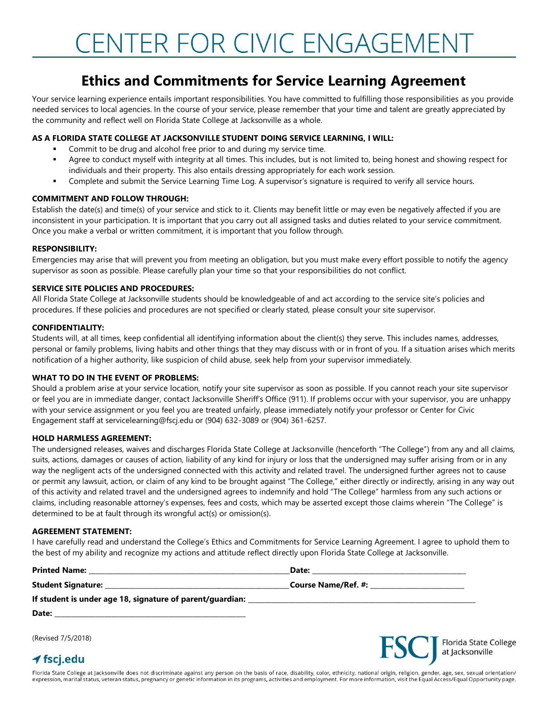# CENTER FOR CIVIC ENGAGEMENT

### **Ethics and Commitments for Service Learning Agreement**

Your service learning experience entails important responsibilities. You have committed to fulfilling those responsibilities as you provide needed services to local agencies. In the course of your service, please remember that your time and talent are greatly appreciated by the community and reflect well on Florida State College at Jacksonville as a whole.

#### **AS A FLORIDA STATE COLLEGE AT JACKSONVILLE STUDENT DOING SERVICE LEARNING, I WILL:**

- Commit to be drug and alcohol free prior to and during my service time.
- Agree to conduct myself with integrity at all times. This includes, but is not limited to, being honest and showing respect for individuals and their property. This also entails dressing appropriately for each work session.
- **•** Complete and submit the Service Learning Time Log. A supervisor's signature is required to verify all service hours.

#### **COMMITMENT AND FOLLOW THROUGH:**

Establish the date(s) and time(s) of your service and stick to it. Clients may benefit little or may even be negatively affected if you are inconsistent in your participation. It is important that you carry out all assigned tasks and duties related to your service commitment. Once you make a verbal or written commitment, it is important that you follow through.

#### **RESPONSIBILITY:**

Emergencies may arise that will prevent you from meeting an obligation, but you must make every effort possible to notify the agency supervisor as soon as possible. Please carefully plan your time so that your responsibilities do not conflict.

#### **SERVICE SITE POLICIES AND PROCEDURES:**

All Florida State College at Jacksonville students should be knowledgeable of and act according to the service site's policies and procedures. If these policies and procedures are not specified or clearly stated, please consult your site supervisor.

#### **CONFIDENTIALITY:**

Students will, at all times, keep confidential all identifying information about the client(s) they serve. This includes names, addresses, personal or family problems, living habits and other things that they may discuss with or in front of you. If a situation arises which merits notification of a higher authority, like suspicion of child abuse, seek help from your supervisor immediately.

#### **WHAT TO DO IN THE EVENT OF PROBLEMS:**

Should a problem arise at your service location, notify your site supervisor as soon as possible. If you cannot reach your site supervisor or feel you are in immediate danger, contact Jacksonville Sheriff's Office (911). If problems occur with your supervisor, you are unhappy with your service assignment or you feel you are treated unfairly, please immediately notify your professor or Center for Civic Engagement staff at servicelearning@fscj.edu or (904) 632-3089 or (904) 361-6257.

#### **HOLD HARMLESS AGREEMENT:**

The undersigned releases, waives and discharges Florida State College at Jacksonville (henceforth "The College") from any and all claims, suits, actions, damages or causes of action, liability of any kind for injury or loss that the undersigned may suffer arising from or in any way the negligent acts of the undersigned connected with this activity and related travel. The undersigned further agrees not to cause or permit any lawsuit, action, or claim of any kind to be brought against "The College," either directly or indirectly, arising in any way out of this activity and related travel and the undersigned agrees to indemnify and hold "The College" harmless from any such actions or claims, including reasonable attorney's expenses, fees and costs, which may be asserted except those claims wherein "The College" is determined to be at fault through its wrongful act(s) or omission(s).

#### **AGREEMENT STATEMENT:**

I have carefully read and understand the College's Ethics and Commitments for Service Learning Agreement. I agree to uphold them to the best of my ability and recognize my actions and attitude reflect directly upon Florida State College at Jacksonville.

| (Revised 7/5/2018)            |                                  |  |  |
|-------------------------------|----------------------------------|--|--|
| $\blacktriangleleft$ fscj.edu | <b>FSC</b> Florida State College |  |  |

Florida State College at Jacksonville does not discriminate against any person on the basis of race, disability, color, ethnicity, national origin, religion, gender, age, sex, sexual orientation/ expression, marital status, veteran status, pregnancy or genetic information in its programs, activities and employment. For more information, visit the Equal Access/Equal Opportunity page.